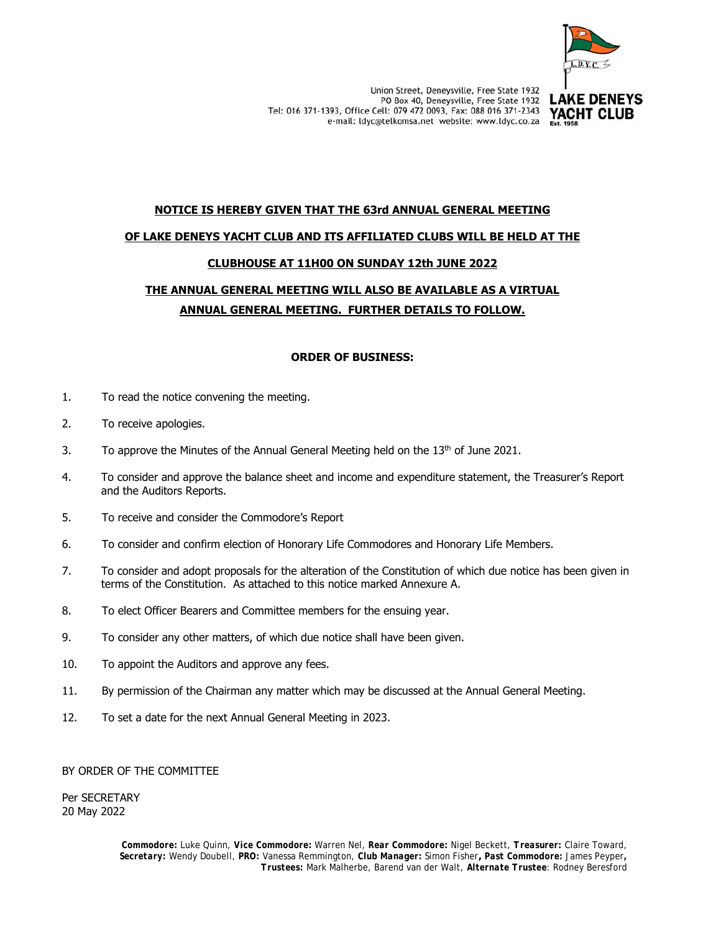

YACHT CLUB

# **NOTICE IS HEREBY GIVEN THAT THE 63rd ANNUAL GENERAL MEETING**

#### **OF LAKE DENEYS YACHT CLUB AND ITS AFFILIATED CLUBS WILL BE HELD AT THE**

## **CLUBHOUSE AT 11H00 ON SUNDAY 12th JUNE 2022**

# **THE ANNUAL GENERAL MEETING WILL ALSO BE AVAILABLE AS A VIRTUAL ANNUAL GENERAL MEETING. FURTHER DETAILS TO FOLLOW.**

## **ORDER OF BUSINESS:**

- 1. To read the notice convening the meeting.
- 2. To receive apologies.
- 3. To approve the Minutes of the Annual General Meeting held on the  $13<sup>th</sup>$  of June 2021.
- 4. To consider and approve the balance sheet and income and expenditure statement, the Treasurer's Report and the Auditors Reports.
- 5. To receive and consider the Commodore's Report
- 6. To consider and confirm election of Honorary Life Commodores and Honorary Life Members.
- 7. To consider and adopt proposals for the alteration of the Constitution of which due notice has been given in terms of the Constitution. As attached to this notice marked Annexure A.
- 8. To elect Officer Bearers and Committee members for the ensuing year.
- 9. To consider any other matters, of which due notice shall have been given.
- 10. To appoint the Auditors and approve any fees.
- 11. By permission of the Chairman any matter which may be discussed at the Annual General Meeting.
- 12. To set a date for the next Annual General Meeting in 2023.

BY ORDER OF THE COMMITTEE

Per SECRETARY 20 May 2022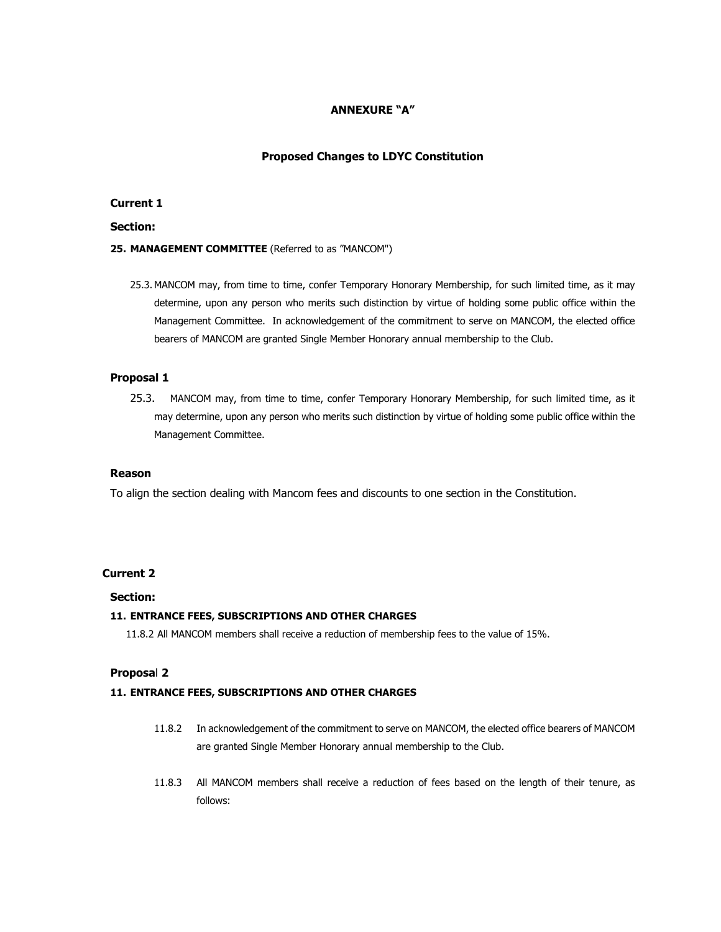## **ANNEXURE "A"**

#### **Proposed Changes to LDYC Constitution**

## **Current 1**

## **Section:**

#### **25. MANAGEMENT COMMITTEE** (Referred to as "MANCOM")

25.3. MANCOM may, from time to time, confer Temporary Honorary Membership, for such limited time, as it may determine, upon any person who merits such distinction by virtue of holding some public office within the Management Committee. In acknowledgement of the commitment to serve on MANCOM, the elected office bearers of MANCOM are granted Single Member Honorary annual membership to the Club.

#### **Proposal 1**

25.3. MANCOM may, from time to time, confer Temporary Honorary Membership, for such limited time, as it may determine, upon any person who merits such distinction by virtue of holding some public office within the Management Committee.

#### **Reason**

To align the section dealing with Mancom fees and discounts to one section in the Constitution.

## **Current 2**

#### **Section:**

## **11. ENTRANCE FEES, SUBSCRIPTIONS AND OTHER CHARGES**

11.8.2 All MANCOM members shall receive a reduction of membership fees to the value of 15%.

#### **Proposa**l **2**

#### **11. ENTRANCE FEES, SUBSCRIPTIONS AND OTHER CHARGES**

- 11.8.2 In acknowledgement of the commitment to serve on MANCOM, the elected office bearers of MANCOM are granted Single Member Honorary annual membership to the Club.
- 11.8.3 All MANCOM members shall receive a reduction of fees based on the length of their tenure, as follows: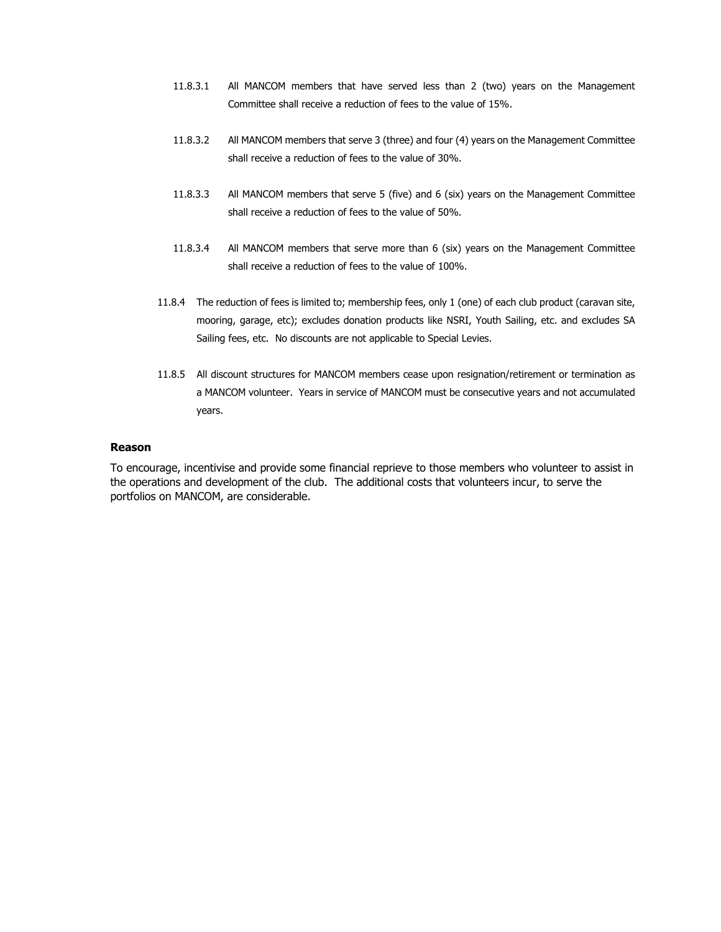- 11.8.3.1 All MANCOM members that have served less than 2 (two) years on the Management Committee shall receive a reduction of fees to the value of 15%.
- 11.8.3.2 All MANCOM members that serve 3 (three) and four (4) years on the Management Committee shall receive a reduction of fees to the value of 30%.
- 11.8.3.3 All MANCOM members that serve 5 (five) and 6 (six) years on the Management Committee shall receive a reduction of fees to the value of 50%.
- 11.8.3.4 All MANCOM members that serve more than 6 (six) years on the Management Committee shall receive a reduction of fees to the value of 100%.
- 11.8.4 The reduction of fees is limited to; membership fees, only 1 (one) of each club product (caravan site, mooring, garage, etc); excludes donation products like NSRI, Youth Sailing, etc. and excludes SA Sailing fees, etc. No discounts are not applicable to Special Levies.
- 11.8.5 All discount structures for MANCOM members cease upon resignation/retirement or termination as a MANCOM volunteer. Years in service of MANCOM must be consecutive years and not accumulated years.

#### **Reason**

To encourage, incentivise and provide some financial reprieve to those members who volunteer to assist in the operations and development of the club. The additional costs that volunteers incur, to serve the portfolios on MANCOM, are considerable.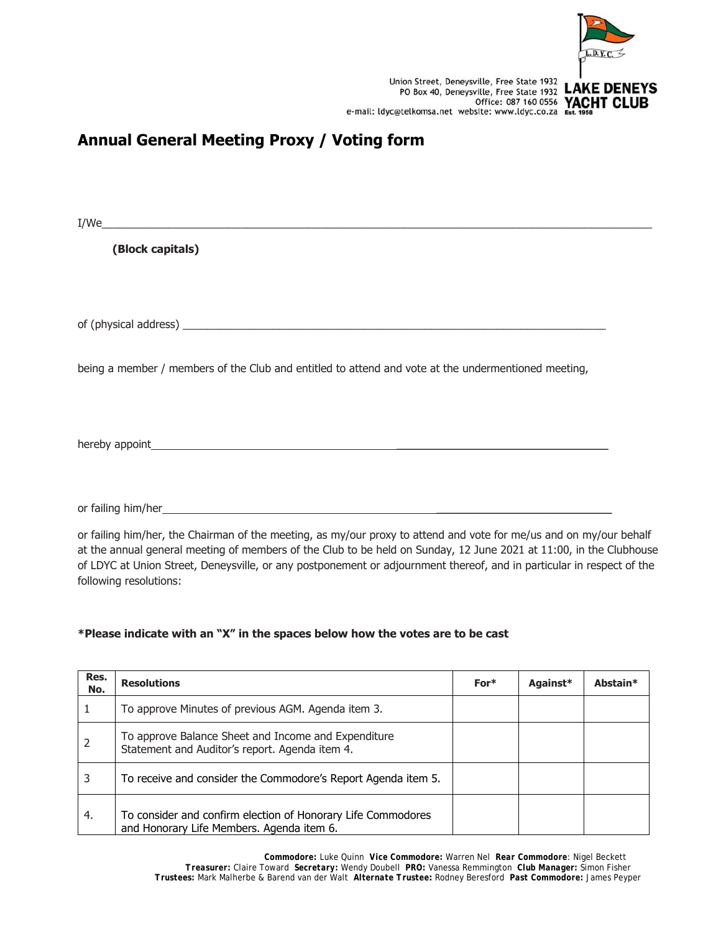

Union Street, Deneysville, Free State 1932<br>PO Box 40, Deneysville, Free State 1932 LAKE DENEYS<br>Office: 087 160 0556 YACHT CLUB<br>e-mail: Idyc@telkomsa.net website: www.ldyc.co.za Est. 1958 Union Street, Deneysville, Free State 1932

# **Annual General Meeting Proxy / Voting form**

| I/We                                                                                                             |  |
|------------------------------------------------------------------------------------------------------------------|--|
| (Block capitals)                                                                                                 |  |
|                                                                                                                  |  |
|                                                                                                                  |  |
| being a member / members of the Club and entitled to attend and vote at the undermentioned meeting,              |  |
|                                                                                                                  |  |
|                                                                                                                  |  |
|                                                                                                                  |  |
| or failing bim/her the Chairman of the meeting as my/our provided attend and vote for me/us and on my/our behalf |  |

or failing him/her, the Chairman of the meeting, as my/our proxy to attend and vote for me/us and on my/our behalf at the annual general meeting of members of the Club to be held on Sunday, 12 June 2021 at 11:00, in the Clubhouse of LDYC at Union Street, Deneysville, or any postponement or adjournment thereof, and in particular in respect of the following resolutions:

## **\*Please indicate with an "X" in the spaces below how the votes are to be cast**

| Res.<br>No. | <b>Resolutions</b>                                                                                        | $For*$ | Against* | Abstain* |
|-------------|-----------------------------------------------------------------------------------------------------------|--------|----------|----------|
|             | To approve Minutes of previous AGM. Agenda item 3.                                                        |        |          |          |
|             | To approve Balance Sheet and Income and Expenditure<br>Statement and Auditor's report. Agenda item 4.     |        |          |          |
| 3           | To receive and consider the Commodore's Report Agenda item 5.                                             |        |          |          |
| 4.          | To consider and confirm election of Honorary Life Commodores<br>and Honorary Life Members. Agenda item 6. |        |          |          |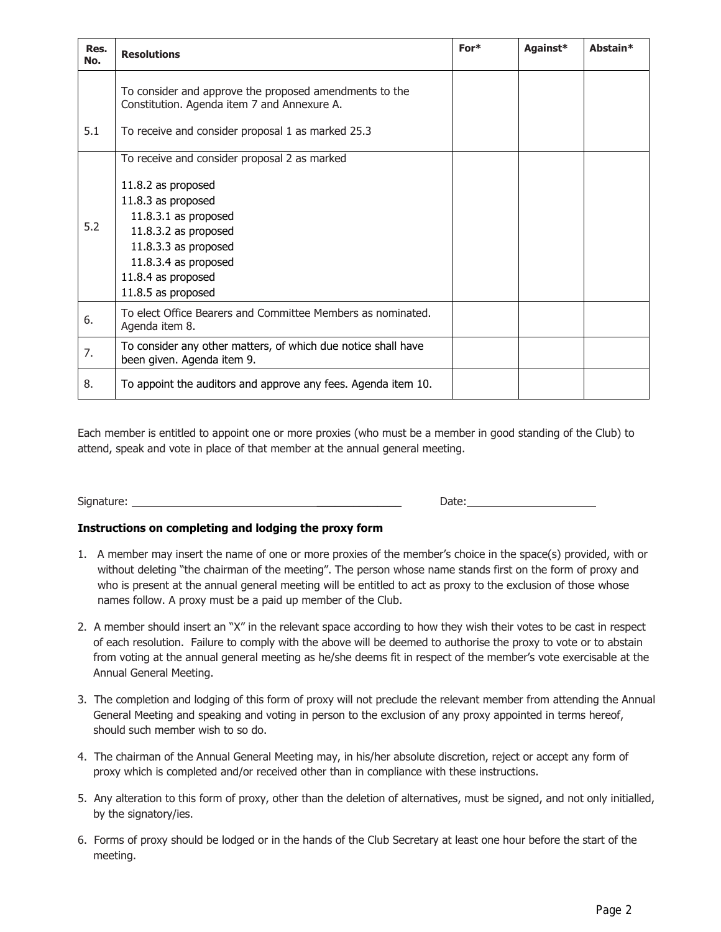| Res.<br>No. | <b>Resolutions</b>                                                                                                                                                                                                                       | For* | Against* | Abstain* |
|-------------|------------------------------------------------------------------------------------------------------------------------------------------------------------------------------------------------------------------------------------------|------|----------|----------|
|             | To consider and approve the proposed amendments to the<br>Constitution. Agenda item 7 and Annexure A.                                                                                                                                    |      |          |          |
| 5.1         | To receive and consider proposal 1 as marked 25.3                                                                                                                                                                                        |      |          |          |
| 5.2         | To receive and consider proposal 2 as marked<br>11.8.2 as proposed<br>11.8.3 as proposed<br>$11.8.3.1$ as proposed<br>11.8.3.2 as proposed<br>$11.8.3.3$ as proposed<br>11.8.3.4 as proposed<br>11.8.4 as proposed<br>11.8.5 as proposed |      |          |          |
| 6.          | To elect Office Bearers and Committee Members as nominated.<br>Agenda item 8.                                                                                                                                                            |      |          |          |
| 7.          | To consider any other matters, of which due notice shall have<br>been given. Agenda item 9.                                                                                                                                              |      |          |          |
| 8.          | To appoint the auditors and approve any fees. Agenda item 10.                                                                                                                                                                            |      |          |          |

Each member is entitled to appoint one or more proxies (who must be a member in good standing of the Club) to attend, speak and vote in place of that member at the annual general meeting.

Signature: \_\_\_\_\_\_\_\_\_\_\_\_\_\_ Date:

## **Instructions on completing and lodging the proxy form**

- 1. A member may insert the name of one or more proxies of the member's choice in the space(s) provided, with or without deleting "the chairman of the meeting". The person whose name stands first on the form of proxy and who is present at the annual general meeting will be entitled to act as proxy to the exclusion of those whose names follow. A proxy must be a paid up member of the Club.
- 2. A member should insert an "X" in the relevant space according to how they wish their votes to be cast in respect of each resolution. Failure to comply with the above will be deemed to authorise the proxy to vote or to abstain from voting at the annual general meeting as he/she deems fit in respect of the member's vote exercisable at the Annual General Meeting.
- 3. The completion and lodging of this form of proxy will not preclude the relevant member from attending the Annual General Meeting and speaking and voting in person to the exclusion of any proxy appointed in terms hereof, should such member wish to so do.
- 4. The chairman of the Annual General Meeting may, in his/her absolute discretion, reject or accept any form of proxy which is completed and/or received other than in compliance with these instructions.
- 5. Any alteration to this form of proxy, other than the deletion of alternatives, must be signed, and not only initialled, by the signatory/ies.
- 6. Forms of proxy should be lodged or in the hands of the Club Secretary at least one hour before the start of the meeting.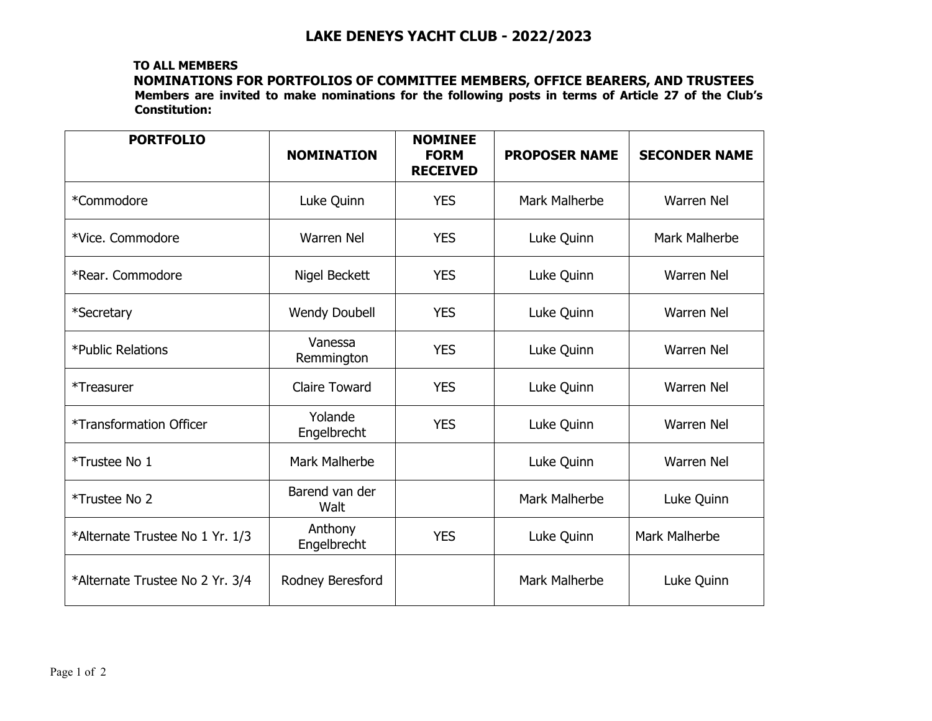## **TO ALL MEMBERS NOMINATIONS FOR PORTFOLIOS OF COMMITTEE MEMBERS, OFFICE BEARERS, AND TRUSTEES Members are invited to make nominations for the following posts in terms of Article 27 of the Club's Constitution:**

| <b>PORTFOLIO</b>                      | <b>NOMINATION</b>      | <b>NOMINEE</b><br><b>FORM</b><br><b>RECEIVED</b> | <b>PROPOSER NAME</b> | <b>SECONDER NAME</b> |
|---------------------------------------|------------------------|--------------------------------------------------|----------------------|----------------------|
| *Commodore                            | Luke Quinn             | <b>YES</b>                                       | Mark Malherbe        | <b>Warren Nel</b>    |
| *Vice. Commodore                      | <b>Warren Nel</b>      | <b>YES</b>                                       | Luke Quinn           | Mark Malherbe        |
| *Rear. Commodore                      | Nigel Beckett          | <b>YES</b>                                       | Luke Quinn           | <b>Warren Nel</b>    |
| *Secretary                            | <b>Wendy Doubell</b>   | <b>YES</b>                                       | Luke Quinn           | <b>Warren Nel</b>    |
| *Public Relations                     | Vanessa<br>Remmington  | <b>YES</b>                                       | Luke Quinn           | <b>Warren Nel</b>    |
| *Treasurer                            | <b>Claire Toward</b>   | <b>YES</b>                                       | Luke Quinn           | <b>Warren Nel</b>    |
| <i><b>*Transformation Officer</b></i> | Yolande<br>Engelbrecht | <b>YES</b>                                       | Luke Quinn           | Warren Nel           |
| *Trustee No 1                         | Mark Malherbe          |                                                  | Luke Quinn           | <b>Warren Nel</b>    |
| *Trustee No 2                         | Barend van der<br>Walt |                                                  | Mark Malherbe        | Luke Quinn           |
| *Alternate Trustee No 1 Yr. 1/3       | Anthony<br>Engelbrecht | <b>YES</b>                                       | Luke Quinn           | Mark Malherbe        |
| *Alternate Trustee No 2 Yr. 3/4       | Rodney Beresford       |                                                  | Mark Malherbe        | Luke Quinn           |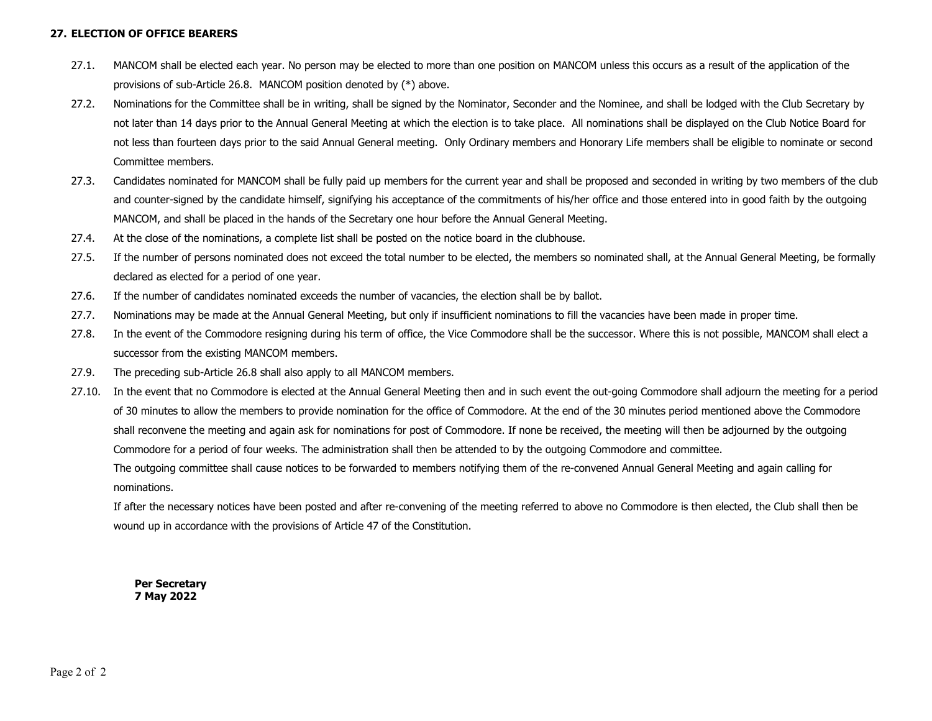#### **27. ELECTION OF OFFICE BEARERS**

- 27.1. MANCOM shall be elected each year. No person may be elected to more than one position on MANCOM unless this occurs as a result of the application of the provisions of sub-Article 26.8. MANCOM position denoted by (\*) above.
- 27.2. Nominations for the Committee shall be in writing, shall be signed by the Nominator, Seconder and the Nominee, and shall be lodged with the Club Secretary by not later than 14 days prior to the Annual General Meeting at which the election is to take place. All nominations shall be displayed on the Club Notice Board for not less than fourteen days prior to the said Annual General meeting. Only Ordinary members and Honorary Life members shall be eligible to nominate or second Committee members.
- 27.3. Candidates nominated for MANCOM shall be fully paid up members for the current year and shall be proposed and seconded in writing by two members of the club and counter-signed by the candidate himself, signifying his acceptance of the commitments of his/her office and those entered into in good faith by the outgoing MANCOM, and shall be placed in the hands of the Secretary one hour before the Annual General Meeting.
- 27.4.At the close of the nominations, a complete list shall be posted on the notice board in the clubhouse.
- 27.5. If the number of persons nominated does not exceed the total number to be elected, the members so nominated shall, at the Annual General Meeting, be formally declared as elected for a period of one year.
- 27.6.If the number of candidates nominated exceeds the number of vacancies, the election shall be by ballot.
- 27.7.Nominations may be made at the Annual General Meeting, but only if insufficient nominations to fill the vacancies have been made in proper time.
- 27.8. In the event of the Commodore resigning during his term of office, the Vice Commodore shall be the successor. Where this is not possible, MANCOM shall elect a successor from the existing MANCOM members.
- 27.9.The preceding sub-Article 26.8 shall also apply to all MANCOM members.
- 27.10. In the event that no Commodore is elected at the Annual General Meeting then and in such event the out-going Commodore shall adjourn the meeting for a period of 30 minutes to allow the members to provide nomination for the office of Commodore. At the end of the 30 minutes period mentioned above the Commodore shall reconvene the meeting and again ask for nominations for post of Commodore. If none be received, the meeting will then be adjourned by the outgoing Commodore for a period of four weeks. The administration shall then be attended to by the outgoing Commodore and committee.

The outgoing committee shall cause notices to be forwarded to members notifying them of the re-convened Annual General Meeting and again calling for nominations.

If after the necessary notices have been posted and after re-convening of the meeting referred to above no Commodore is then elected, the Club shall then be wound up in accordance with the provisions of Article 47 of the Constitution.

**Per Secretary 7 May 2022**